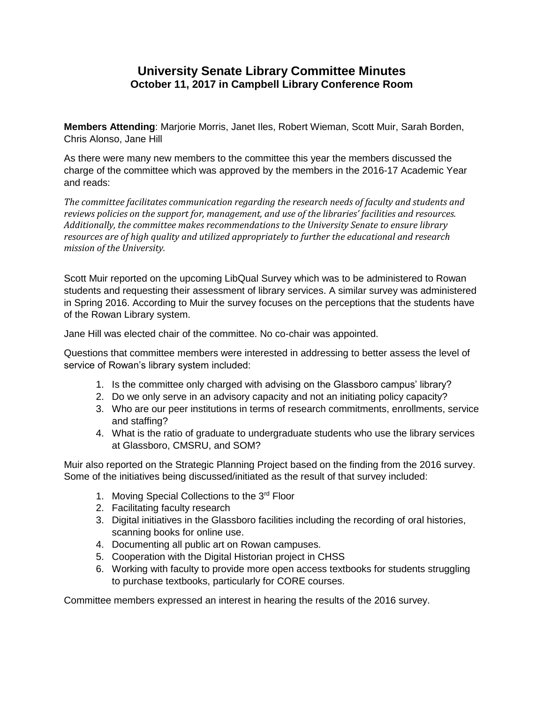## **University Senate Library Committee Minutes October 11, 2017 in Campbell Library Conference Room**

**Members Attending**: Marjorie Morris, Janet Iles, Robert Wieman, Scott Muir, Sarah Borden, Chris Alonso, Jane Hill

As there were many new members to the committee this year the members discussed the charge of the committee which was approved by the members in the 2016-17 Academic Year and reads:

*The committee facilitates communication regarding the research needs of faculty and students and reviews policies on the support for, management, and use of the libraries' facilities and resources. Additionally, the committee makes recommendations to the University Senate to ensure library resources are of high quality and utilized appropriately to further the educational and research mission of the University.*

Scott Muir reported on the upcoming LibQual Survey which was to be administered to Rowan students and requesting their assessment of library services. A similar survey was administered in Spring 2016. According to Muir the survey focuses on the perceptions that the students have of the Rowan Library system.

Jane Hill was elected chair of the committee. No co-chair was appointed.

Questions that committee members were interested in addressing to better assess the level of service of Rowan's library system included:

- 1. Is the committee only charged with advising on the Glassboro campus' library?
- 2. Do we only serve in an advisory capacity and not an initiating policy capacity?
- 3. Who are our peer institutions in terms of research commitments, enrollments, service and staffing?
- 4. What is the ratio of graduate to undergraduate students who use the library services at Glassboro, CMSRU, and SOM?

Muir also reported on the Strategic Planning Project based on the finding from the 2016 survey. Some of the initiatives being discussed/initiated as the result of that survey included:

- 1. Moving Special Collections to the 3<sup>rd</sup> Floor
- 2. Facilitating faculty research
- 3. Digital initiatives in the Glassboro facilities including the recording of oral histories, scanning books for online use.
- 4. Documenting all public art on Rowan campuses.
- 5. Cooperation with the Digital Historian project in CHSS
- 6. Working with faculty to provide more open access textbooks for students struggling to purchase textbooks, particularly for CORE courses.

Committee members expressed an interest in hearing the results of the 2016 survey.